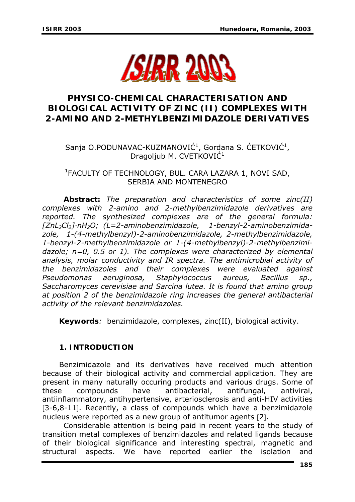

# **PHYSICO-CHEMICAL CHARACTERISATION AND BIOLOGICAL ACTIVITY OF ZINC (II) COMPLEXES WITH 2-AMINO AND 2-METHYLBENZIMIDAZOLE DERIVATIVES**

# Sanja O.PODUNAVAC-KUZMANOVIĆ<sup>1</sup>, Gordana S. ĆETKOVIĆ<sup>1</sup>, Dragoljub M. CVETKOVIĆ<sup>1</sup>

## 1 FACULTY OF TECHNOLOGY, BUL. CARA LAZARA 1, NOVI SAD, SERBIA AND MONTENEGRO

*Abstract: The preparation and characteristics of some zinc(II) complexes with 2-amino and 2-methylbenzimidazole derivatives are reported. The synthesized complexes are of the general formula: [ZnL2Cl2]·nH2O; (L=2-aminobenzimidazole, 1-benzyl-2-aminobenzimidazole, 1-(4-methylbenzyl)-2-aminobenzimidazole, 2-methylbenzimidazole, 1-benzyl-2-methylbenzimidazole or 1-(4-methylbenzyl)-2-methylbenzimidazole; n=0, 0.5 or 1). The complexes were characterized by elemental analysis, molar conductivity and IR spectra. The antimicrobial activity of the benzimidazoles and their complexes were evaluated against Pseudomonas aeruginosa, Staphylococcus aureus, Bacillus sp., Saccharomyces cerevisiae and Sarcina lutea. It is found that amino group at position 2 of the benzimidazole ring increases the general antibacterial activity of the relevant benzimidazoles.* 

*Keywords:* benzimidazole, complexes, zinc(II), biological activity.

# **1. INTRODUCTION**

Benzimidazole and its derivatives have received much attention because of their biological activity and commercial application. They are present in many naturally occuring products and various drugs. Some of these compounds have antibacterial, antifungal, antiviral, antiinflammatory, antihypertensive, arteriosclerosis and anti-HIV activities [3-6,8-11]. Recently, a class of compounds which have a benzimidazole nucleus were reported as a new group of antitumor agents [2].

Considerable attention is being paid in recent years to the study of transition metal complexes of benzimidazoles and related ligands because of their biological significance and interesting spectral, magnetic and structural aspects. We have reported earlier the isolation and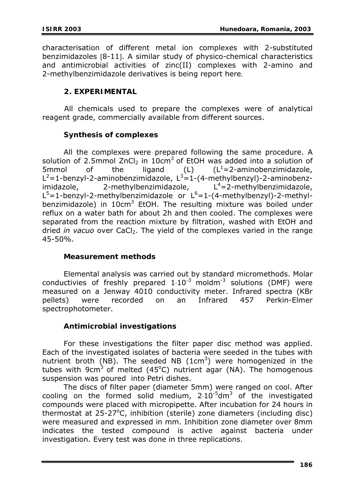characterisation of different metal ion complexes with 2-substituted benzimidazoles [8-11]. A similar study of physico-chemical characteristics and antimicrobial activities of zinc(II) complexes with 2-amino and 2-methylbenzimidazole derivatives is being report here.

#### **2. EXPERIMENTAL**

 All chemicals used to prepare the complexes were of analytical reagent grade, commercially available from different sources.

#### **Synthesis of complexes**

All the complexes were prepared following the same procedure. A solution of 2.5mmol ZnCl<sub>2</sub> in 10cm<sup>3</sup> of EtOH was added into a solution of 5mmol of the ligand (L)  $(L<sup>1</sup>=2$ -aminobenzimidazole, L<sup>2</sup>=1-benzyl-2-aminobenzimidazole, L<sup>3</sup>=1-(4-methylbenzyl)-2-aminobenzimidazole, 2-methylbenzimidazole, L<sup>4</sup>=2-methylbenzimidazole,  $L^5$ =1-benzyl-2-methylbenzimidazole or  $L^6$ =1-(4-methylbenzyl)-2-methylbenzimidazole) in 10cm<sup>3</sup> EtOH. The resulting mixture was boiled under reflux on a water bath for about 2h and then cooled. The complexes were separated from the reaction mixture by filtration, washed with EtOH and dried *in vacuo* over CaCl<sub>2</sub>. The yield of the complexes varied in the range 45-50%.

#### **Measurement methods**

 Elemental analysis was carried out by standard micromethods. Molar conductivies of freshly prepared  $1.10^{-3}$  moldm<sup>-3</sup> solutions (DMF) were measured on a Jenway 4010 conductivity meter. Infrared spectra (KBr pellets) were recorded on an Infrared 457 Perkin-Elmer spectrophotometer.

## **Antimicrobial investigations**

For these investigations the filter paper disc method was applied. Each of the investigated isolates of bacteria were seeded in the tubes with nutrient broth (NB). The seeded NB  $(1cm<sup>3</sup>)$  were homogenized in the tubes with 9cm<sup>3</sup> of melted (45°C) nutrient agar (NA). The homogenous suspension was poured into Petri dishes.

The discs of filter paper (diameter 5mm) were ranged on cool. After cooling on the formed solid medium,  $2.10^{-5}$ dm<sup>3</sup> of the investigated compounds were placed with micropipette. After incubation for 24 hours in thermostat at  $25-27$ °C, inhibition (sterile) zone diameters (including disc) were measured and expressed in mm. Inhibition zone diameter over 8mm indicates the tested compound is active against bacteria under investigation. Every test was done in three replications.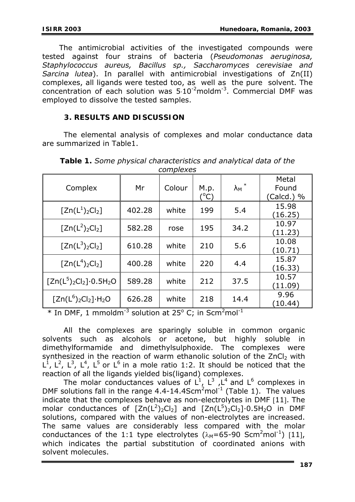The antimicrobial activities of the investigated compounds were tested against four strains of bacteria (*Pseudomonas aeruginosa, Staphylococcus aureus, Bacillus sp., Saccharomyces cerevisiae and Sarcina lutea*). In parallel with antimicrobial investigations of Zn(II) complexes, all ligands were tested too, as well as the pure solvent. The concentration of each solution was  $5·10^{-2}$ moldm<sup>-3</sup>. Commercial DMF was employed to dissolve the tested samples.

## **3. RESULTS AND DISCUSSION**

 The elemental analysis of complexes and molar conductance data are summarized in Table1.

| Complex                        | Mr     | Colour | M.p.<br>(°C) | $\lambda_{M}$ * | Metal<br>Found<br>(Calcd.) % |  |  |  |  |
|--------------------------------|--------|--------|--------------|-----------------|------------------------------|--|--|--|--|
| $[Zn(L^{1})_{2}Cl_{2}]$        | 402.28 | white  | 199          | 5.4             | 15.98<br>(16.25)             |  |  |  |  |
| $[Zn(L^2)_2Cl_2]$              | 582.28 | rose   | 195          | 34.2            | 10.97<br>(11.23)             |  |  |  |  |
| $[Zn(L^3)_2Cl_2]$              | 610.28 | white  | 210          | 5.6             | 10.08<br>(10.71)             |  |  |  |  |
| $[Zn(L4)2Cl2]$                 | 400.28 | white  | 220          | 4.4             | 15.87<br>(16.33)             |  |  |  |  |
| $[Zn(L^5)_2Cl_2]\cdot 0.5H_2O$ | 589.28 | white  | 212          | 37.5            | 10.57<br>(11.09)             |  |  |  |  |
| $[Zn(L^6)_2Cl_2] \cdot H_2O$   | 626.28 | white  | 218          | 14.4            | 9.96<br>(10.44)              |  |  |  |  |

*Table 1. Some physical characteristics and analytical data of the complexes* 

 $*$  In DMF, 1 mmoldm<sup>-3</sup> solution at 25<sup>o</sup> C; in Scm<sup>2</sup>mol<sup>-1</sup>

All the complexes are sparingly soluble in common organic solvents such as alcohols or acetone, but highly soluble in dimethylformamide and dimethylsulphoxide. The complexes were synthesized in the reaction of warm ethanolic solution of the  $ZnCl<sub>2</sub>$  with  $L^1$ ,  $L^2$ ,  $L^3$ ,  $L^4$ ,  $L^5$  or  $L^6$  in a mole ratio 1:2. It should be noticed that the reaction of all the ligands yielded bis(ligand) complexes.

The molar conductances values of  $L^1$ ,  $L^3$ ,  $L^4$  and  $L^6$  complexes in DMF solutions fall in the range  $4.4$ -14.4Scm<sup>2</sup>mol<sup>-1</sup> (Table 1). The values indicate that the complexes behave as non-electrolytes in DMF [11]. The molar conductances of  $[Zn(L^2)_2Cl_2]$  and  $[Zn(L^5)_2Cl_2] \cdot 0.5H_2O$  in DMF solutions, compared with the values of non-electrolytes are increased. The same values are considerably less compared with the molar conductances of the 1:1 type electrolytes  $(\lambda_M = 65 - 90 \text{ Scm}^2 \text{mol}^{-1})$  [11], which indicates the partial substitution of coordinated anions with solvent molecules.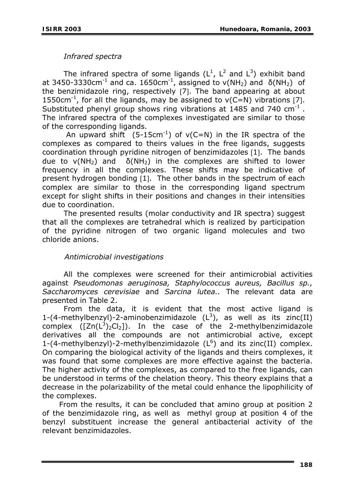## *Infrared spectra*

The infrared spectra of some ligands  $(L^1, L^2$  and  $L^3)$  exhibit band at 3450-3330cm<sup>-1</sup> and ca. 1650cm<sup>-1</sup>, assigned to  $v(NH_2)$  and  $\delta(NH_2)$  of the benzimidazole ring, respectively [7]. The band appearing at about 1550cm<sup>-1</sup>, for all the ligands, may be assigned to  $v(C=N)$  vibrations [7]. Substituted phenyl group shows ring vibrations at 1485 and 740  $cm^{-1}$ . The infrared spectra of the complexes investigated are similar to those of the corresponding ligands.

An upward shift  $(5{\text -}15cm^{-1})$  of  $v(C=N)$  in the IR spectra of the complexes as compared to theirs values in the free ligands, suggests coordination through pyridine nitrogen of benzimidazoles [1]. The bands due to  $v(NH_2)$  and  $\delta(NH_2)$  in the complexes are shifted to lower frequency in all the complexes. These shifts may be indicative of present hydrogen bonding [1]. The other bands in the spectrum of each complex are similar to those in the corresponding ligand spectrum except for slight shifts in their positions and changes in their intensities due to coordination.

The presented results (molar conductivity and IR spectra) suggest that all the complexes are tetrahedral which is realized by participation of the pyridine nitrogen of two organic ligand molecules and two chloride anions.

## *Antimicrobial investigations*

 All the complexes were screened for their antimicrobial activities against *Pseudomonas aeruginosa, Staphylococcus aureus, Bacillus sp., Saccharomyces cerevisiae* and *Sarcina lutea..* The relevant data are presented in Table 2.

From the data, it is evident that the most active ligand is 1-(4-methylbenzyl)-2-aminobenzimidazole  $(L^3)$ , as well as its zinc(II) complex  $([Zn(L^3)_2Cl_2])$ . In the case of the 2-methylbenzimidazole derivatives all the compounds are not antimicrobial active, except 1-(4-methylbenzyl)-2-methylbenzimidazole  $(L^6)$  and its zinc(II) complex. On comparing the biological activity of the ligands and theirs complexes, it was found that some complexes are more effective against the bacteria. The higher activity of the complexes, as compared to the free ligands, can be understood in terms of the chelation theory. This theory explains that a decrease in the polarizability of the metal could enhance the lipophilicity of the complexes.

From the results, it can be concluded that amino group at position 2 of the benzimidazole ring, as well as methyl group at position 4 of the benzyl substituent increase the general antibacterial activity of the relevant benzimidazoles.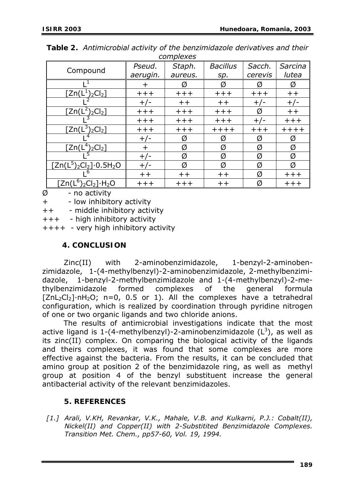| CUTTULCACS                                          |          |                 |                 |         |         |  |  |  |  |  |
|-----------------------------------------------------|----------|-----------------|-----------------|---------|---------|--|--|--|--|--|
| Compound                                            | Pseud.   | Staph.          | <b>Bacillus</b> | Sacch.  | Sarcina |  |  |  |  |  |
|                                                     | aerugin. | aureus.         | sp.             | cerevis | lutea   |  |  |  |  |  |
|                                                     | $\div$   | Ø               | Ø               | Ø       | Ø       |  |  |  |  |  |
| $\left[\text{Zn}(\mathsf{L}^1)_2\text{Cl}_2\right]$ | $++++$   | $++++$          | $++++$          | $++++$  | $++$    |  |  |  |  |  |
|                                                     | $+/-$    | $++$            | $++$            | $+/-$   | $+/-$   |  |  |  |  |  |
| $[2n(L^{2})_{2}Cl_{2}]$                             | $++++$   | $++++$          | $++++$          | Ø       | $++$    |  |  |  |  |  |
|                                                     | $++++$   | $++++$          | $+++$           | $+/-$   | $++++$  |  |  |  |  |  |
| $[Zn(L^3)_2Cl_2]$                                   | $++++$   | $++++$          | $+++++$         | $+++$   | $+++++$ |  |  |  |  |  |
|                                                     | $+/-$    | Ø               | Ø               | Ø       | Ø       |  |  |  |  |  |
| $[Zn(L4)2Cl2]$                                      | $\pm$    | Ø               | Ø               | Ø       | Ø       |  |  |  |  |  |
|                                                     | $+/-$    | Ø               | Ø               | Ø       | Ø       |  |  |  |  |  |
| $\sqrt{[Zn(L^5)_2Cl_2] \cdot 0.5H_2O}$              | $+/-$    | Ø               | Ø               | Ø       | Ø       |  |  |  |  |  |
|                                                     | $++$     | $^{\mathrm{+}}$ | $+ +$           | Ø       | $++++$  |  |  |  |  |  |
| $Zn(L^6)_2Cl_2] \cdot H_2O$                         | $++++$   | $++++$          | $++$            | Ø       | $++++$  |  |  |  |  |  |

*Table 2. Antimicrobial activity of the benzimidazole derivatives and their complexes*

 $\emptyset$  - no activity

+ - low inhibitory activity

++ - middle inhibitory activity

+++ - high inhibitory activity

++++ - very high inhibitory activity

## **4. CONCLUSION**

Zinc(II) with 2-aminobenzimidazole, 1-benzyl-2-aminobenzimidazole, 1-(4-methylbenzyl)-2-aminobenzimidazole, 2-methylbenzimidazole, 1-benzyl-2-methylbenzimidazole and 1-(4-methylbenzyl)-2-methylbenzimidazole formed complexes of the general formula  $[ZnL_2Cl_2] \cdot nH_2O$ ; n=0, 0.5 or 1). All the complexes have a tetrahedral configuration, which is realized by coordination through pyridine nitrogen of one or two organic ligands and two chloride anions.

The results of antimicrobial investigations indicate that the most active ligand is 1-(4-methylbenzyl)-2-aminobenzimidazole  $(L^3)$ , as well as its zinc(II) complex. On comparing the biological activity of the ligands and theirs complexes, it was found that some complexes are more effective against the bacteria. From the results, it can be concluded that amino group at position 2 of the benzimidazole ring, as well as methyl group at position 4 of the benzyl substituent increase the general antibacterial activity of the relevant benzimidazoles.

## **5. REFERENCES**

*[1.] Arali, V.KH, Revankar, V.K., Mahale, V.B. and Kulkarni, P.J.: Cobalt(II), Nickel(II) and Copper(II) with 2-Substitited Benzimidazole Complexes. Transition Met. Chem., pp57-60, Vol. 19, 1994.*